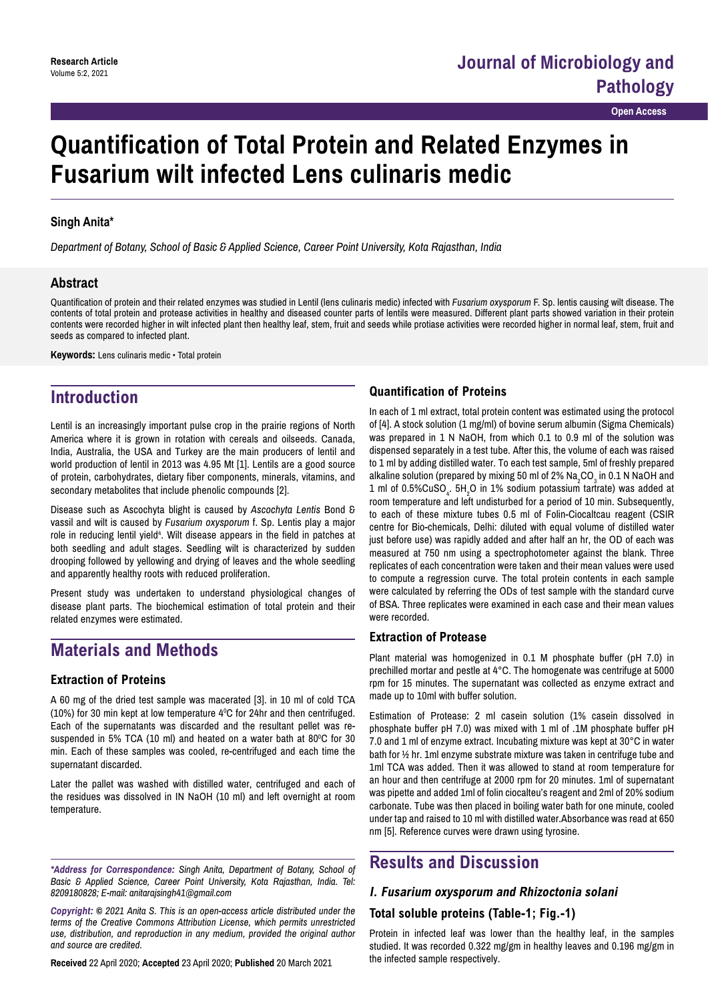**Open Access**

# **Quantification of Total Protein and Related Enzymes in Fusarium wilt infected Lens culinaris medic**

#### **Singh Anita\***

*Department of Botany, School of Basic & Applied Science, Career Point University, Kota Rajasthan, India*

#### **Abstract**

Quantification of protein and their related enzymes was studied in Lentil (lens culinaris medic) infected with *Fusarium oxysporum* F. Sp. lentis causing wilt disease. The contents of total protein and protease activities in healthy and diseased counter parts of lentils were measured. Different plant parts showed variation in their protein contents were recorded higher in wilt infected plant then healthy leaf, stem, fruit and seeds while protiase activities were recorded higher in normal leaf, stem, fruit and seeds as compared to infected plant.

**Keywords:** Lens culinaris medic • Total protein

## **Introduction**

Lentil is an increasingly important pulse crop in the prairie regions of North America where it is grown in rotation with cereals and oilseeds. Canada, India, Australia, the USA and Turkey are the main producers of lentil and world production of lentil in 2013 was 4.95 Mt [1]. Lentils are a good source of protein, carbohydrates, dietary fiber components, minerals, vitamins, and secondary metabolites that include phenolic compounds [2].

Disease such as Ascochyta blight is caused by *Ascochyta Lentis* Bond & vassil and wilt is caused by *Fusarium oxysporum* f. Sp. Lentis play a major role in reducing lentil yield<sup>4</sup>. Wilt disease appears in the field in patches at both seedling and adult stages. Seedling wilt is characterized by sudden drooping followed by yellowing and drying of leaves and the whole seedling and apparently healthy roots with reduced proliferation.

Present study was undertaken to understand physiological changes of disease plant parts. The biochemical estimation of total protein and their related enzymes were estimated.

### **Materials and Methods**

#### **Extraction of Proteins**

A 60 mg of the dried test sample was macerated [3]. in 10 ml of cold TCA (10%) for 30 min kept at low temperature 4°C for 24hr and then centrifuged. Each of the supernatants was discarded and the resultant pellet was resuspended in 5% TCA (10 ml) and heated on a water bath at 80 $^{\rm o}$ C for 30 min. Each of these samples was cooled, re-centrifuged and each time the supernatant discarded.

Later the pallet was washed with distilled water, centrifuged and each of the residues was dissolved in IN NaOH (10 ml) and left overnight at room temperature.

*\*Address for Correspondence: Singh Anita, Department of Botany, School of Basic & Applied Science, Career Point University, Kota Rajasthan, India. Tel: 8209180828; E-mail: anitarajsingh41@gmail.com*

*Copyright: © 2021 Anita S. This is an open-access article distributed under the terms of the Creative Commons Attribution License, which permits unrestricted use, distribution, and reproduction in any medium, provided the original author and source are credited.*

**Received** 22 April 2020; **Accepted** 23 April 2020; **Published** 20 March 2021

#### **Quantification of Proteins**

In each of 1 ml extract, total protein content was estimated using the protocol of [4]. A stock solution (1 mg/ml) of bovine serum albumin (Sigma Chemicals) was prepared in 1 N NaOH, from which 0.1 to 0.9 ml of the solution was dispensed separately in a test tube. After this, the volume of each was raised to 1 ml by adding distilled water. To each test sample, 5ml of freshly prepared alkaline solution (prepared by mixing 50 ml of 2%  $\mathsf{Na}_2\mathsf{CO}_3$  in 0.1 N NaOH and 1 ml of 0.5%CuSO $_{\textrm{\tiny{4}}}$ . 5H $_{\textrm{\tiny{2}}}$ O in 1% sodium potassium tartrate) was added at room temperature and left undisturbed for a period of 10 min. Subsequently, to each of these mixture tubes 0.5 ml of Folin-Ciocaltcau reagent (CSIR centre for Bio-chemicals, Delhi: diluted with equal volume of distilled water just before use) was rapidly added and after half an hr, the OD of each was measured at 750 nm using a spectrophotometer against the blank. Three replicates of each concentration were taken and their mean values were used to compute a regression curve. The total protein contents in each sample were calculated by referring the ODs of test sample with the standard curve of BSA. Three replicates were examined in each case and their mean values were recorded.

#### **Extraction of Protease**

Plant material was homogenized in 0.1 M phosphate buffer (pH 7.0) in prechilled mortar and pestle at 4°C. The homogenate was centrifuge at 5000 rpm for 15 minutes. The supernatant was collected as enzyme extract and made up to 10ml with buffer solution.

Estimation of Protease: 2 ml casein solution (1% casein dissolved in phosphate buffer pH 7.0) was mixed with 1 ml of .1M phosphate buffer pH 7.0 and 1 ml of enzyme extract. Incubating mixture was kept at 30°C in water bath for ½ hr. 1ml enzyme substrate mixture was taken in centrifuge tube and 1ml TCA was added. Then it was allowed to stand at room temperature for an hour and then centrifuge at 2000 rpm for 20 minutes. 1ml of supernatant was pipette and added 1ml of folin ciocalteu's reagent and 2ml of 20% sodium carbonate. Tube was then placed in boiling water bath for one minute, cooled under tap and raised to 10 ml with distilled water.Absorbance was read at 650 nm [5]. Reference curves were drawn using tyrosine.

### **Results and Discussion**

#### **I. Fusarium oxysporum and Rhizoctonia solani**

#### **Total soluble proteins (Table-1; Fig.-1)**

Protein in infected leaf was lower than the healthy leaf, in the samples studied. It was recorded 0.322 mg/gm in healthy leaves and 0.196 mg/gm in the infected sample respectively.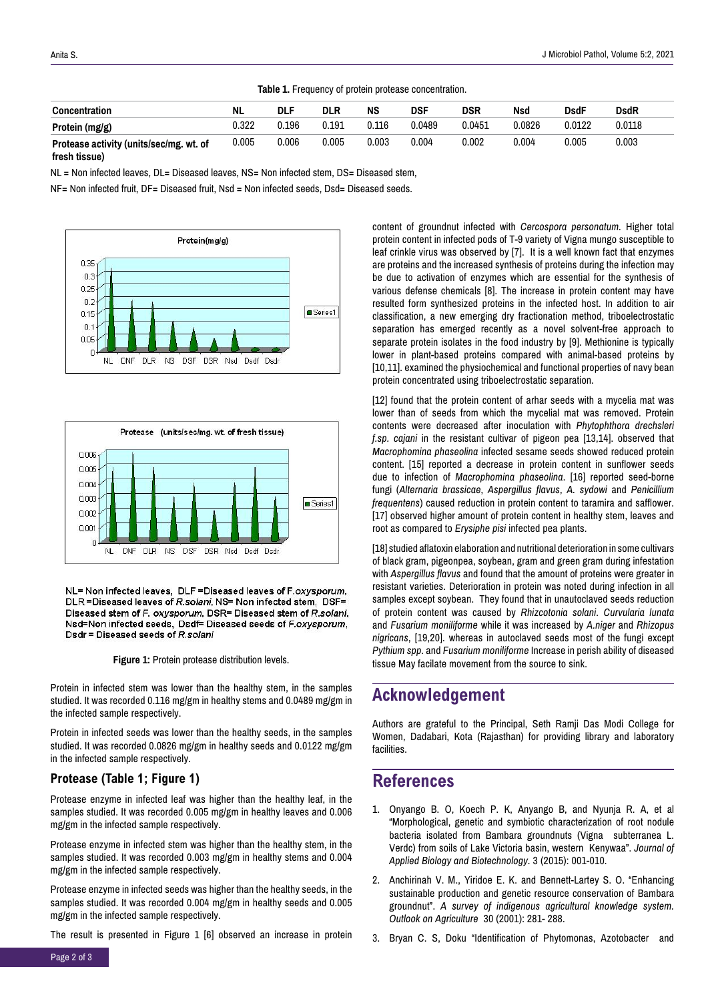| Table 1. Frequency of protein protease concentration. |           |       |            |       |            |            |        |             |             |  |
|-------------------------------------------------------|-----------|-------|------------|-------|------------|------------|--------|-------------|-------------|--|
| <b>Concentration</b>                                  | <b>NL</b> | DLF   | <b>DLR</b> | NS    | <b>DSF</b> | <b>DSR</b> | Nsd    | <b>DsdF</b> | <b>DsdR</b> |  |
| Protein $(mg/g)$                                      | 0.322     | 0.196 | 0.191      | 0.116 | 0.0489     | 0.0451     | 0.0826 | 0.0122      | 0.0118      |  |
| Protease activity (units/sec/mg. wt. of               | 0.005     | 0.006 | 0.005      | 0.003 | 0.004      | 0.002      | 0.004  | 0.005       | 0.003       |  |

**fresh tissue)**

NL = Non infected leaves, DL= Diseased leaves, NS= Non infected stem, DS= Diseased stem,

NF= Non infected fruit, DF= Diseased fruit, Nsd = Non infected seeds, Dsd= Diseased seeds.





NL= Non infected leaves, DLF =Diseased leaves of F.oxysporum, DLR = Diseased leaves of R.solani. NS= Non infected stem. DSF= Diseased stem of F. oxysporum, DSR= Diseased stem of R.solani, Nsd=Non infected seeds, Dsdf= Diseased seeds of F.oxysporum, Dsdr = Diseased seeds of R.solani

**Figure 1:** Protein protease distribution levels.

Protein in infected stem was lower than the healthy stem, in the samples studied. It was recorded 0.116 mg/gm in healthy stems and 0.0489 mg/gm in the infected sample respectively.

Protein in infected seeds was lower than the healthy seeds, in the samples studied. It was recorded 0.0826 mg/gm in healthy seeds and 0.0122 mg/gm in the infected sample respectively.

#### **Protease (Table 1; Figure 1)**

Protease enzyme in infected leaf was higher than the healthy leaf, in the samples studied. It was recorded 0.005 mg/gm in healthy leaves and 0.006 mg/gm in the infected sample respectively.

Protease enzyme in infected stem was higher than the healthy stem, in the samples studied. It was recorded 0.003 mg/gm in healthy stems and 0.004 mg/gm in the infected sample respectively.

Protease enzyme in infected seeds was higher than the healthy seeds, in the samples studied. It was recorded 0.004 mg/gm in healthy seeds and 0.005 mg/gm in the infected sample respectively.

The result is presented in Figure 1 [6] observed an increase in protein

content of groundnut infected with *Cercospora personatum.* Higher total protein content in infected pods of T-9 variety of Vigna mungo susceptible to leaf crinkle virus was observed by [7]. It is a well known fact that enzymes are proteins and the increased synthesis of proteins during the infection may be due to activation of enzymes which are essential for the synthesis of various defense chemicals [8]. The increase in protein content may have resulted form synthesized proteins in the infected host. In addition to air classification, a new emerging dry fractionation method, triboelectrostatic separation has emerged recently as a novel solvent-free approach to separate protein isolates in the food industry by [9]. Methionine is typically lower in plant-based proteins compared with animal-based proteins by [10,11]. examined the physiochemical and functional properties of navy bean protein concentrated using triboelectrostatic separation.

[12] found that the protein content of arhar seeds with a mycelia mat was lower than of seeds from which the mycelial mat was removed. Protein contents were decreased after inoculation with *Phytophthora drechsleri f.sp. cajani* in the resistant cultivar of pigeon pea [13,14]. observed that *Macrophomina phaseolina* infected sesame seeds showed reduced protein content. [15] reported a decrease in protein content in sunflower seeds due to infection of *Macrophomina phaseolina*. [16] reported seed-borne fungi (*Alternaria brassicae*, *Aspergillus flavus*, *A. sydowi* and *Penicillium frequentens*) caused reduction in protein content to taramira and safflower. [17] observed higher amount of protein content in healthy stem, leaves and root as compared to *Erysiphe pisi* infected pea plants.

[18] studied aflatoxin elaboration and nutritional deterioration in some cultivars of black gram, pigeonpea, soybean, gram and green gram during infestation with *Aspergillus flavus* and found that the amount of proteins were greater in resistant varieties. Deterioration in protein was noted during infection in all samples except soybean. They found that in unautoclaved seeds reduction of protein content was caused by *Rhizcotonia solani*. *Curvularia lunata* and *Fusarium moniliforme* while it was increased by *A.niger* and *Rhizopus nigricans*, [19,20]. whereas in autoclaved seeds most of the fungi except *Pythium spp*. and *Fusarium moniliforme* Increase in perish ability of diseased tissue May facilate movement from the source to sink.

### **Acknowledgement**

Authors are grateful to the Principal, Seth Ramji Das Modi College for Women, Dadabari, Kota (Rajasthan) for providing library and laboratory facilities.

### **References**

- 1. Onyango B. O, Koech P. K, Anyango B, and Nyunja R. A, et al "Morphological, genetic and symbiotic characterization of root nodule bacteria isolated from Bambara groundnuts (Vigna subterranea L. Verdc) from soils of Lake Victoria basin, western Kenywaa". *Journal of Applied Biology and Biotechnology.* 3 (2015): 001-010.
- 2. Anchirinah V. M., Yiridoe E. K. and Bennett-Lartey S. O. "Enhancing sustainable production and genetic resource conservation of Bambara groundnut". *A survey of indigenous agricultural knowledge system. Outlook on Agriculture* 30 (2001): 281- 288.
- 3. Bryan C. S, Doku "Identification of Phytomonas, Azotobacter and